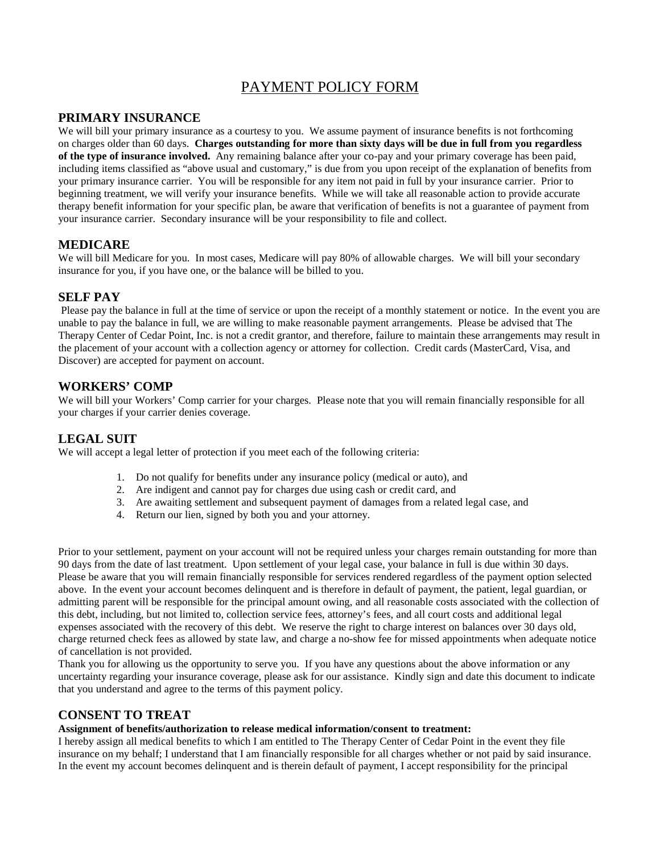# PAYMENT POLICY FORM

### **PRIMARY INSURANCE**

We will bill your primary insurance as a courtesy to you. We assume payment of insurance benefits is not forthcoming on charges older than 60 days. **Charges outstanding for more than sixty days will be due in full from you regardless of the type of insurance involved.** Any remaining balance after your co-pay and your primary coverage has been paid, including items classified as "above usual and customary," is due from you upon receipt of the explanation of benefits from your primary insurance carrier. You will be responsible for any item not paid in full by your insurance carrier. Prior to beginning treatment, we will verify your insurance benefits. While we will take all reasonable action to provide accurate therapy benefit information for your specific plan, be aware that verification of benefits is not a guarantee of payment from your insurance carrier. Secondary insurance will be your responsibility to file and collect.

#### **MEDICARE**

We will bill Medicare for you. In most cases, Medicare will pay 80% of allowable charges. We will bill your secondary insurance for you, if you have one, or the balance will be billed to you.

#### **SELF PAY**

 Please pay the balance in full at the time of service or upon the receipt of a monthly statement or notice. In the event you are unable to pay the balance in full, we are willing to make reasonable payment arrangements. Please be advised that The Therapy Center of Cedar Point, Inc. is not a credit grantor, and therefore, failure to maintain these arrangements may result in the placement of your account with a collection agency or attorney for collection. Credit cards (MasterCard, Visa, and Discover) are accepted for payment on account.

#### **WORKERS' COMP**

We will bill your Workers' Comp carrier for your charges. Please note that you will remain financially responsible for all your charges if your carrier denies coverage.

## **LEGAL SUIT**

We will accept a legal letter of protection if you meet each of the following criteria:

- 1. Do not qualify for benefits under any insurance policy (medical or auto), and
- 2. Are indigent and cannot pay for charges due using cash or credit card, and
- 3. Are awaiting settlement and subsequent payment of damages from a related legal case, and
- 4. Return our lien, signed by both you and your attorney.

Prior to your settlement, payment on your account will not be required unless your charges remain outstanding for more than 90 days from the date of last treatment. Upon settlement of your legal case, your balance in full is due within 30 days. Please be aware that you will remain financially responsible for services rendered regardless of the payment option selected above. In the event your account becomes delinquent and is therefore in default of payment, the patient, legal guardian, or admitting parent will be responsible for the principal amount owing, and all reasonable costs associated with the collection of this debt, including, but not limited to, collection service fees, attorney's fees, and all court costs and additional legal expenses associated with the recovery of this debt. We reserve the right to charge interest on balances over 30 days old, charge returned check fees as allowed by state law, and charge a no-show fee for missed appointments when adequate notice of cancellation is not provided.

Thank you for allowing us the opportunity to serve you. If you have any questions about the above information or any uncertainty regarding your insurance coverage, please ask for our assistance. Kindly sign and date this document to indicate that you understand and agree to the terms of this payment policy.

#### **CONSENT TO TREAT**

#### **Assignment of benefits/authorization to release medical information/consent to treatment:**

I hereby assign all medical benefits to which I am entitled to The Therapy Center of Cedar Point in the event they file insurance on my behalf; I understand that I am financially responsible for all charges whether or not paid by said insurance. In the event my account becomes delinquent and is therein default of payment, I accept responsibility for the principal